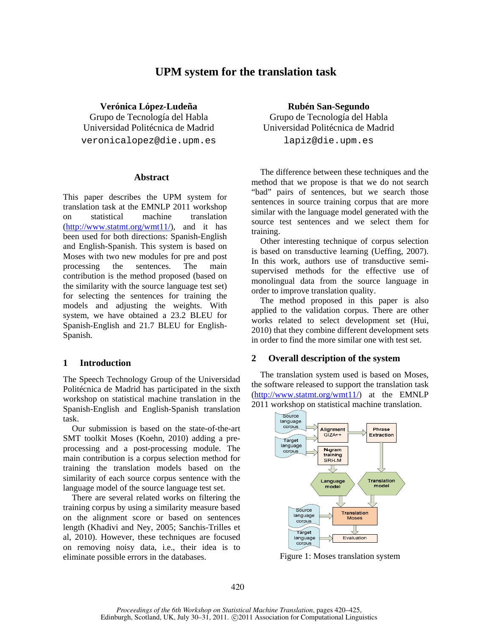# **UPM system for the translation task**

**Verónica López-Ludeña Rubén San-Segundo** Grupo de Tecnología del Habla Grupo de Tecnología del Habla Universidad Politécnica de Madrid Universidad Politécnica de Madrid veronicalopez@die.upm.es lapiz@die.upm.es

#### **Abstract**

This paper describes the UPM system for translation task at the EMNLP 2011 workshop on statistical machine translation (http://www.statmt.org/wmt11/), and it has been used for both directions: Spanish-English and English-Spanish. This system is based on Moses with two new modules for pre and post processing the sentences. The main contribution is the method proposed (based on the similarity with the source language test set) for selecting the sentences for training the models and adjusting the weights. With system, we have obtained a 23.2 BLEU for Spanish-English and 21.7 BLEU for English-Spanish.

### **1 Introduction**

The Speech Technology Group of the Universidad Politécnica de Madrid has participated in the sixth workshop on statistical machine translation in the Spanish-English and English-Spanish translation task.

Our submission is based on the state-of-the-art SMT toolkit Moses (Koehn, 2010) adding a preprocessing and a post-processing module. The main contribution is a corpus selection method for training the translation models based on the similarity of each source corpus sentence with the language model of the source language test set.

There are several related works on filtering the training corpus by using a similarity measure based on the alignment score or based on sentences length (Khadivi and Ney, 2005; Sanchis-Trilles et al, 2010). However, these techniques are focused on removing noisy data, i.e., their idea is to eliminate possible errors in the databases.

The difference between these techniques and the method that we propose is that we do not search "bad" pairs of sentences, but we search those sentences in source training corpus that are more similar with the language model generated with the source test sentences and we select them for training.

Other interesting technique of corpus selection is based on transductive learning (Ueffing, 2007). In this work, authors use of transductive semisupervised methods for the effective use of monolingual data from the source language in order to improve translation quality.

The method proposed in this paper is also applied to the validation corpus. There are other works related to select development set (Hui, 2010) that they combine different development sets in order to find the more similar one with test set.

### **2 Overall description of the system**

The translation system used is based on Moses, the software released to support the translation task (http://www.statmt.org/wmt11/) at the EMNLP 2011 workshop on statistical machine translation.



Figure 1: Moses translation system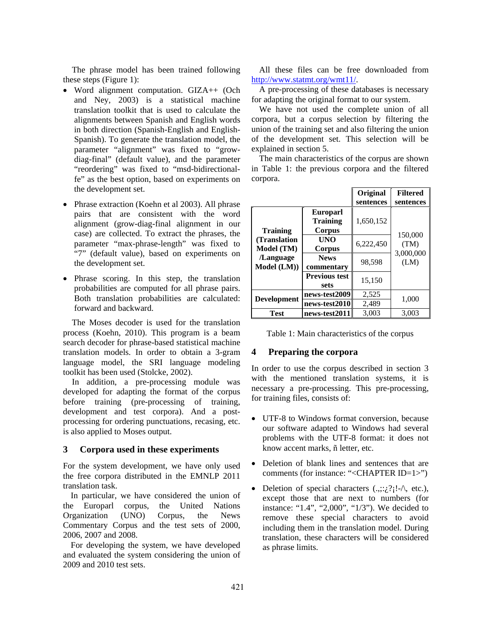The phrase model has been trained following these steps (Figure 1):

- Word alignment computation. GIZA++ (Och and Ney, 2003) is a statistical machine translation toolkit that is used to calculate the alignments between Spanish and English words in both direction (Spanish-English and English-Spanish). To generate the translation model, the parameter "alignment" was fixed to "growdiag-final" (default value), and the parameter "reordering" was fixed to "msd-bidirectionalfe" as the best option, based on experiments on the development set.
- Phrase extraction (Koehn et al 2003). All phrase pairs that are consistent with the word alignment (grow-diag-final alignment in our case) are collected. To extract the phrases, the parameter "max-phrase-length" was fixed to "7" (default value), based on experiments on the development set.
- Phrase scoring. In this step, the translation probabilities are computed for all phrase pairs. Both translation probabilities are calculated: forward and backward.

The Moses decoder is used for the translation process (Koehn, 2010). This program is a beam search decoder for phrase-based statistical machine translation models. In order to obtain a 3-gram language model, the SRI language modeling toolkit has been used (Stolcke, 2002).

In addition, a pre-processing module was developed for adapting the format of the corpus before training (pre-processing of training, development and test corpora). And a postprocessing for ordering punctuations, recasing, etc. is also applied to Moses output.

# **3 Corpora used in these experiments**

For the system development, we have only used the free corpora distributed in the EMNLP 2011 translation task.

In particular, we have considered the union of the Europarl corpus, the United Nations Organization (UNO) Corpus, the News Commentary Corpus and the test sets of 2000, 2006, 2007 and 2008.

For developing the system, we have developed and evaluated the system considering the union of 2009 and 2010 test sets.

All these files can be free downloaded from http://www.statmt.org/wmt11/.

A pre-processing of these databases is necessary for adapting the original format to our system.

We have not used the complete union of all corpora, but a corpus selection by filtering the union of the training set and also filtering the union of the development set. This selection will be explained in section 5.

The main characteristics of the corpus are shown in Table 1: the previous corpora and the filtered corpora.

|                                                                            |                                                     | Original<br>sentences | <b>Filtered</b><br>sentences |  |
|----------------------------------------------------------------------------|-----------------------------------------------------|-----------------------|------------------------------|--|
| <b>Training</b><br>(Translation)<br>Model (TM)<br>/Language<br>Model (LM)) | <b>Europarl</b><br><b>Training</b><br><b>Corpus</b> | 1,650,152             |                              |  |
|                                                                            | UNO<br>Corpus                                       | 6,222,450             | 150,000<br>(TM)<br>3,000,000 |  |
|                                                                            | <b>News</b><br>commentary                           | 98,598                | (LM)                         |  |
|                                                                            | <b>Previous test</b><br>sets                        | 15,150                |                              |  |
| <b>Development</b>                                                         | news-test2009                                       | 2,525                 | 1,000                        |  |
|                                                                            | news-test2010                                       | 2,489                 |                              |  |
| Test                                                                       | news-test2011                                       | 3.003                 | 3.003                        |  |

Table 1: Main characteristics of the corpus

### **4 Preparing the corpora**

In order to use the corpus described in section 3 with the mentioned translation systems, it is necessary a pre-processing. This pre-processing, for training files, consists of:

- UTF-8 to Windows format conversion, because our software adapted to Windows had several problems with the UTF-8 format: it does not know accent marks, ñ letter, etc.
- Deletion of blank lines and sentences that are comments (for instance: "<CHAPTER ID=1>")
- Deletion of special characters  $(.,.;.; ?$ <sub>1</sub>!- $\wedge$ , etc.), except those that are next to numbers (for instance: "1.4", "2,000", "1/3"). We decided to remove these special characters to avoid including them in the translation model. During translation, these characters will be considered as phrase limits.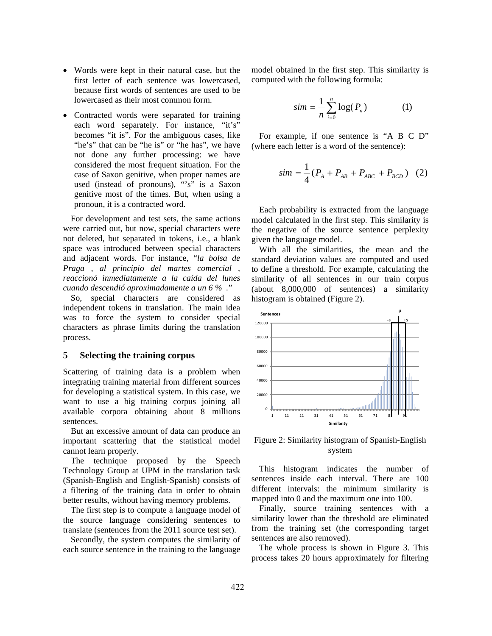- Words were kept in their natural case, but the first letter of each sentence was lowercased, because first words of sentences are used to be lowercased as their most common form.
- Contracted words were separated for training each word separately. For instance, "it's" becomes "it is". For the ambiguous cases, like "he's" that can be "he is" or "he has", we have not done any further processing: we have considered the most frequent situation. For the case of Saxon genitive, when proper names are used (instead of pronouns), "'s" is a Saxon genitive most of the times. But, when using a pronoun, it is a contracted word.

For development and test sets, the same actions were carried out, but now, special characters were not deleted, but separated in tokens, i.e., a blank space was introduced between special characters and adjacent words. For instance, "*la bolsa de Praga , al principio del martes comercial , reaccionó inmediatamente a la caída del lunes cuando descendió aproximadamente a un 6 % .*"

So, special characters are considered as independent tokens in translation. The main idea was to force the system to consider special characters as phrase limits during the translation process.

### **5 Selecting the training corpus**

Scattering of training data is a problem when integrating training material from different sources for developing a statistical system. In this case, we want to use a big training corpus joining all available corpora obtaining about 8 millions sentences.

But an excessive amount of data can produce an important scattering that the statistical model cannot learn properly.

The technique proposed by the Speech Technology Group at UPM in the translation task (Spanish-English and English-Spanish) consists of a filtering of the training data in order to obtain better results, without having memory problems.

The first step is to compute a language model of the source language considering sentences to translate (sentences from the 2011 source test set).

Secondly, the system computes the similarity of each source sentence in the training to the language model obtained in the first step. This similarity is computed with the following formula:

$$
sim = \frac{1}{n} \sum_{i=0}^{n} \log(P_n)
$$
 (1)

For example, if one sentence is "A B C D" (where each letter is a word of the sentence):

$$
sim = \frac{1}{4}(P_A + P_{AB} + P_{ABC} + P_{BCD}) \quad (2)
$$

Each probability is extracted from the language model calculated in the first step. This similarity is the negative of the source sentence perplexity given the language model.

With all the similarities, the mean and the standard deviation values are computed and used to define a threshold. For example, calculating the similarity of all sentences in our train corpus (about 8,000,000 of sentences) a similarity histogram is obtained (Figure 2).



Figure 2: Similarity histogram of Spanish-English system

This histogram indicates the number of sentences inside each interval. There are 100 different intervals: the minimum similarity is mapped into 0 and the maximum one into 100.

Finally, source training sentences with a similarity lower than the threshold are eliminated from the training set (the corresponding target sentences are also removed).

The whole process is shown in Figure 3. This process takes 20 hours approximately for filtering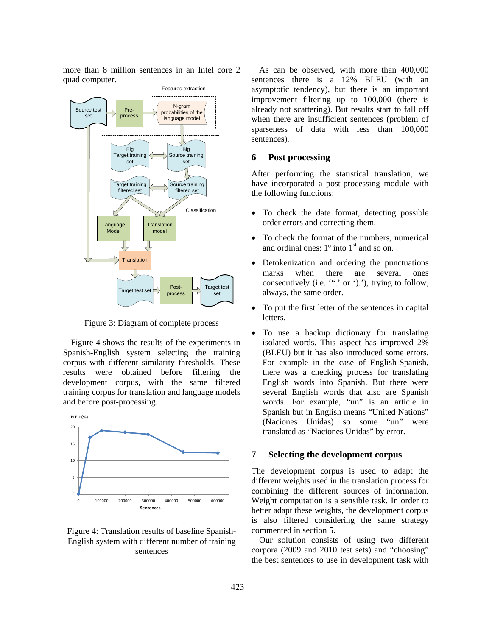more than 8 million sentences in an Intel core 2 quad computer.



Figure 3: Diagram of complete process

Figure 4 shows the results of the experiments in Spanish-English system selecting the training corpus with different similarity thresholds. These results were obtained before filtering the development corpus, with the same filtered training corpus for translation and language models and before post-processing.



# Figure 4: Translation results of baseline Spanish-English system with different number of training sentences

As can be observed, with more than 400,000 sentences there is a 12% BLEU (with an asymptotic tendency), but there is an important improvement filtering up to 100,000 (there is already not scattering). But results start to fall off when there are insufficient sentences (problem of sparseness of data with less than 100,000 sentences).

#### **6 Post processing**

After performing the statistical translation, we have incorporated a post-processing module with the following functions:

- To check the date format, detecting possible order errors and correcting them.
- To check the format of the numbers, numerical and ordinal ones:  $1^\circ$  into  $1^\text{st}$  and so on.
- Detokenization and ordering the punctuations marks when there are several ones consecutively (i.e. "".' or ').'), trying to follow, always, the same order.
- To put the first letter of the sentences in capital letters.
- To use a backup dictionary for translating isolated words. This aspect has improved 2% (BLEU) but it has also introduced some errors. For example in the case of English-Spanish, there was a checking process for translating English words into Spanish. But there were several English words that also are Spanish words. For example, "un" is an article in Spanish but in English means "United Nations" (Naciones Unidas) so some "un" were translated as "Naciones Unidas" by error.

# **7 Selecting the development corpus**

The development corpus is used to adapt the different weights used in the translation process for combining the different sources of information. Weight computation is a sensible task. In order to better adapt these weights, the development corpus is also filtered considering the same strategy commented in section 5.

Our solution consists of using two different corpora (2009 and 2010 test sets) and "choosing" the best sentences to use in development task with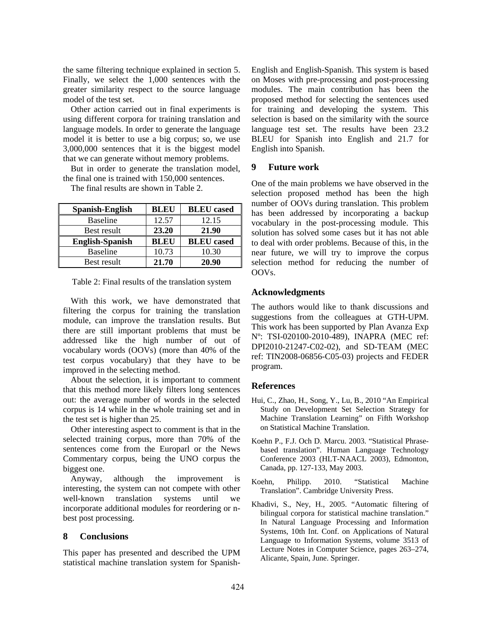the same filtering technique explained in section 5. Finally, we select the 1,000 sentences with the greater similarity respect to the source language model of the test set.

Other action carried out in final experiments is using different corpora for training translation and language models. In order to generate the language model it is better to use a big corpus; so, we use 3,000,000 sentences that it is the biggest model that we can generate without memory problems.

But in order to generate the translation model, the final one is trained with 150,000 sentences.

The final results are shown in Table 2.

| Spanish-English        | <b>BLEU</b> | <b>BLEU</b> cased |
|------------------------|-------------|-------------------|
| <b>Baseline</b>        | 12.57       | 12.15             |
| Best result            | 23.20       | 21.90             |
| <b>English-Spanish</b> | <b>BLEU</b> | <b>BLEU</b> cased |
| <b>Baseline</b>        | 10.73       | 10.30             |
| Best result            | 21.70       | 20.90             |

Table 2: Final results of the translation system

With this work, we have demonstrated that filtering the corpus for training the translation module, can improve the translation results. But there are still important problems that must be addressed like the high number of out of vocabulary words (OOVs) (more than 40% of the test corpus vocabulary) that they have to be improved in the selecting method.

About the selection, it is important to comment that this method more likely filters long sentences out: the average number of words in the selected corpus is 14 while in the whole training set and in the test set is higher than 25.

Other interesting aspect to comment is that in the selected training corpus, more than 70% of the sentences come from the Europarl or the News Commentary corpus, being the UNO corpus the biggest one.

Anyway, although the improvement is interesting, the system can not compete with other well-known translation systems until we incorporate additional modules for reordering or nbest post processing.

### **8 Conclusions**

This paper has presented and described the UPM statistical machine translation system for SpanishEnglish and English-Spanish. This system is based on Moses with pre-processing and post-processing modules. The main contribution has been the proposed method for selecting the sentences used for training and developing the system. This selection is based on the similarity with the source language test set. The results have been 23.2 BLEU for Spanish into English and 21.7 for English into Spanish.

### **9 Future work**

One of the main problems we have observed in the selection proposed method has been the high number of OOVs during translation. This problem has been addressed by incorporating a backup vocabulary in the post-processing module. This solution has solved some cases but it has not able to deal with order problems. Because of this, in the near future, we will try to improve the corpus selection method for reducing the number of OOVs.

#### **Acknowledgments**

The authors would like to thank discussions and suggestions from the colleagues at GTH-UPM. This work has been supported by Plan Avanza Exp Nº: TSI-020100-2010-489), INAPRA (MEC ref: DPI2010-21247-C02-02), and SD-TEAM (MEC ref: TIN2008-06856-C05-03) projects and FEDER program.

### **References**

- Hui, C., Zhao, H., Song, Y., Lu, B., 2010 "An Empirical Study on Development Set Selection Strategy for Machine Translation Learning" on Fifth Workshop on Statistical Machine Translation.
- Koehn P., F.J. Och D. Marcu. 2003. "Statistical Phrasebased translation". Human Language Technology Conference 2003 (HLT-NAACL 2003), Edmonton, Canada, pp. 127-133, May 2003.
- Koehn, Philipp. 2010. "Statistical Machine Translation". Cambridge University Press.
- Khadivi, S., Ney, H., 2005. "Automatic filtering of bilingual corpora for statistical machine translation." In Natural Language Processing and Information Systems, 10th Int. Conf. on Applications of Natural Language to Information Systems, volume 3513 of Lecture Notes in Computer Science, pages 263–274, Alicante, Spain, June. Springer.